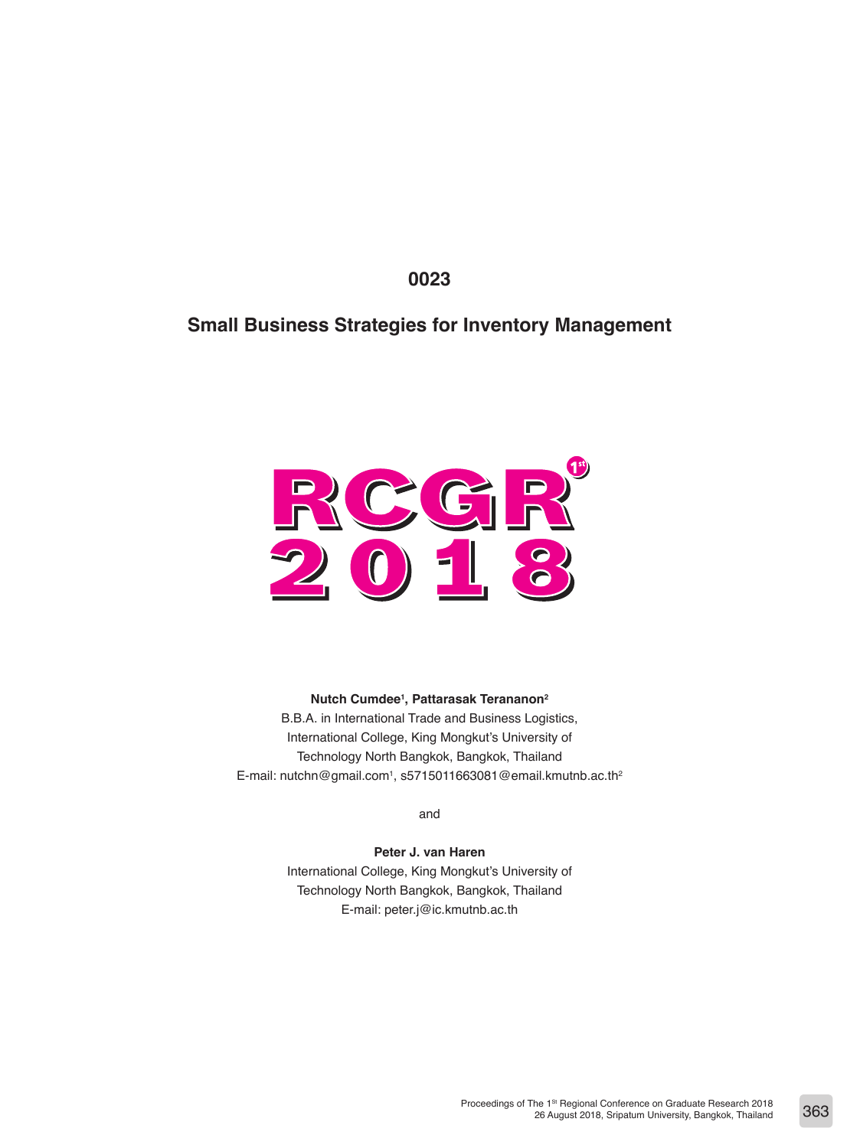**0023**

# **Small Business Strategies for Inventory Management**



**Nutch Cumdee1 , Pattarasak Terananon2**

B.B.A. in International Trade and Business Logistics, International College, King Mongkut's University of Technology North Bangkok, Bangkok, Thailand E-mail: nutchn@gmail.com<sup>1</sup>, s5715011663081@email.kmutnb.ac.th<sup>2</sup>

and

**Peter J. van Haren** International College, King Mongkut's University of Technology North Bangkok, Bangkok, Thailand E-mail: peter.j@ic.kmutnb.ac.th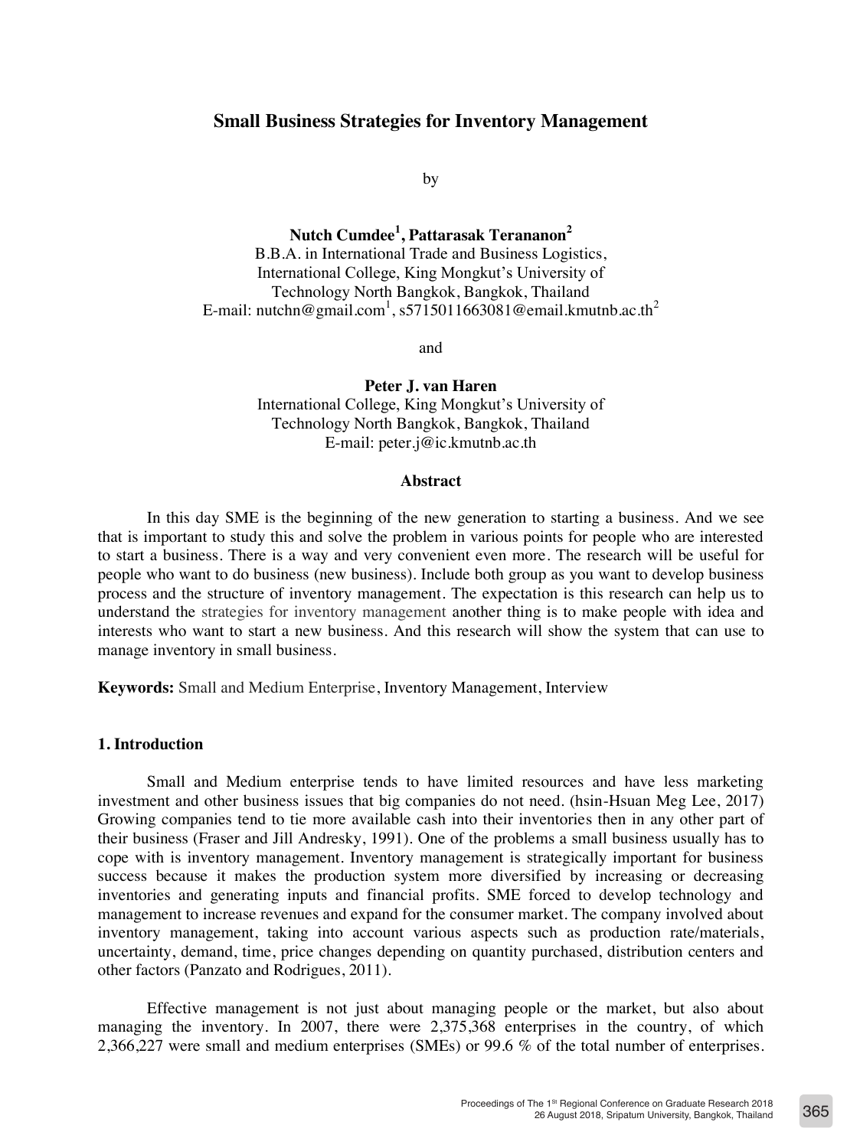## **Small Business Strategies for Inventory Management**

by

**Nutch Cumdee<sup>1</sup> , Pattarasak Terananon<sup>2</sup>** B.B.A. in International Trade and Business Logistics, International College, King Mongkut's University of Technology North Bangkok, Bangkok, Thailand E-mail: nutchn@gmail.com<sup>1</sup>, s5715011663081@email.kmutnb.ac.th<sup>2</sup>

and

**Peter J. van Haren** International College, King Mongkut's University of Technology North Bangkok, Bangkok, Thailand E-mail: peter.j@ic.kmutnb.ac.th

#### **Abstract**

In this day SME is the beginning of the new generation to starting a business. And we see that is important to study this and solve the problem in various points for people who are interested to start a business. There is a way and very convenient even more. The research will be useful for people who want to do business (new business). Include both group as you want to develop business process and the structure of inventory management. The expectation is this research can help us to understand the strategies for inventory management another thing is to make people with idea and interests who want to start a new business. And this research will show the system that can use to manage inventory in small business.

**Keywords:** Small and Medium Enterprise, Inventory Management, Interview

# **1. Introduction**

Small and Medium enterprise tends to have limited resources and have less marketing investment and other business issues that big companies do not need. (hsin-Hsuan Meg Lee, 2017) Growing companies tend to tie more available cash into their inventories then in any other part of their business (Fraser and Jill Andresky, 1991). One of the problems a small business usually has to cope with is inventory management. Inventory management is strategically important for business success because it makes the production system more diversified by increasing or decreasing inventories and generating inputs and financial profits. SME forced to develop technology and management to increase revenues and expand for the consumer market. The company involved about inventory management, taking into account various aspects such as production rate/materials, uncertainty, demand, time, price changes depending on quantity purchased, distribution centers and other factors (Panzato and Rodrigues, 2011).

Effective management is not just about managing people or the market, but also about managing the inventory. In 2007, there were 2,375,368 enterprises in the country, of which 2,366,227 were small and medium enterprises (SMEs) or 99.6 % of the total number of enterprises.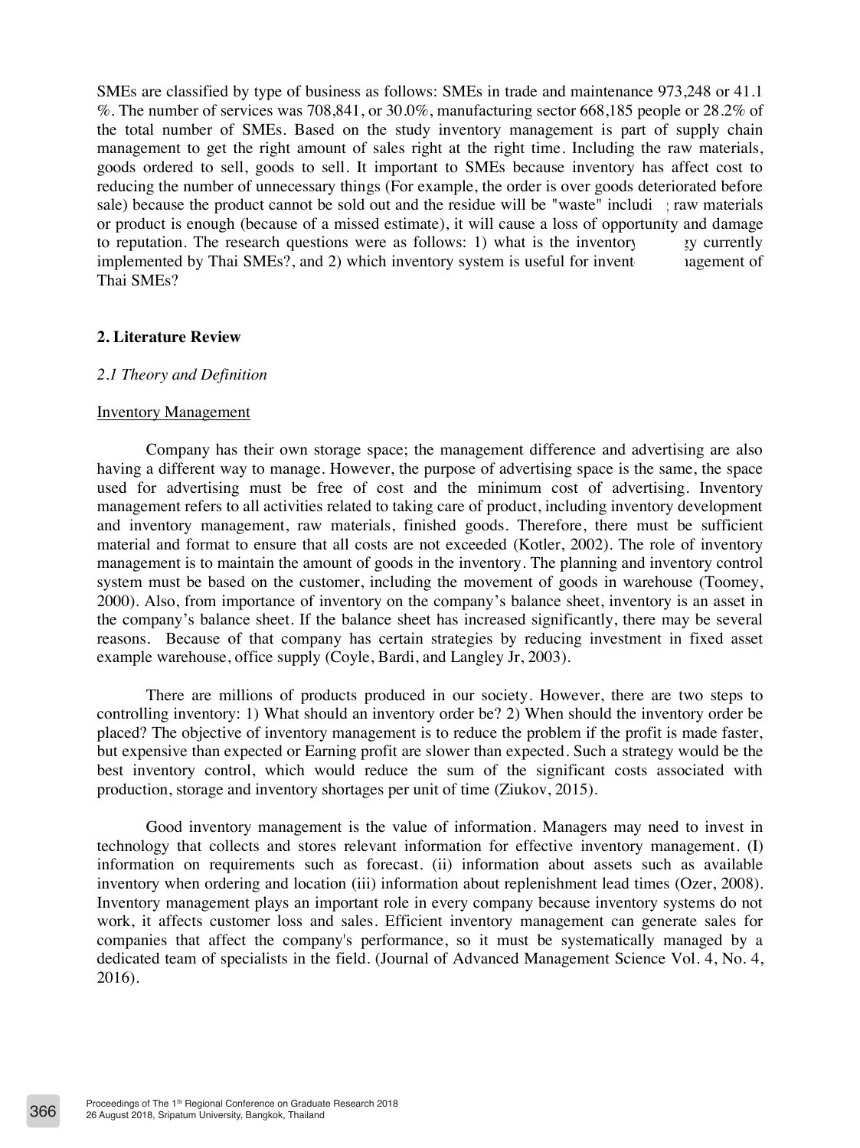SMEs are classified by type of business as follows: SMEs in trade and maintenance 973,248 or 41.1 %. The number of services was 708,841, or 30.0%, manufacturing sector 668,185 people or 28.2% of the total number of SMEs. Based on the study inventory management is part of supply chain management to get the right amount of sales right at the right time. Including the raw materials, goods ordered to sell, goods to sell. It important to SMEs because inventory has affect cost to reducing the number of unnecessary things (For example, the order is over goods deteriorated before sale) because the product cannot be sold out and the residue will be "waste" including raw materials or product is enough (because of a missed estimate), it will cause a loss of opportunity and damage to reputation. The research questions were as follows: 1) what is the inventor  $\gamma$  v currently implemented by Thai SMEs?, and 2) which inventory system is useful for invent agement of Thai SMEs?

### **2. Literature Review**

#### *2.1 Theory and Definition*

#### Inventory Management

Company has their own storage space; the management difference and advertising are also having a different way to manage. However, the purpose of advertising space is the same, the space used for advertising must be free of cost and the minimum cost of advertising. Inventory management refers to all activities related to taking care of product, including inventory development and inventory management, raw materials, finished goods. Therefore, there must be sufficient material and format to ensure that all costs are not exceeded (Kotler, 2002). The role of inventory management is to maintain the amount of goods in the inventory. The planning and inventory control system must be based on the customer, including the movement of goods in warehouse (Toomey, 2000). Also, from importance of inventory on the company's balance sheet, inventory is an asset in the company's balance sheet. If the balance sheet has increased significantly, there may be several reasons. Because of that company has certain strategies by reducing investment in fixed asset example warehouse, office supply (Coyle, Bardi, and Langley Jr, 2003).

There are millions of products produced in our society. However, there are two steps to controlling inventory: 1) What should an inventory order be? 2) When should the inventory order be placed? The objective of inventory management is to reduce the problem if the profit is made faster, but expensive than expected or Earning profit are slower than expected. Such a strategy would be the best inventory control, which would reduce the sum of the significant costs associated with production, storage and inventory shortages per unit of time (Ziukov, 2015).

Good inventory management is the value of information. Managers may need to invest in technology that collects and stores relevant information for effective inventory management. (I) information on requirements such as forecast. (ii) information about assets such as available inventory when ordering and location (iii) information about replenishment lead times (Ozer, 2008). Inventory management plays an important role in every company because inventory systems do not work, it affects customer loss and sales. Efficient inventory management can generate sales for companies that affect the company's performance, so it must be systematically managed by a dedicated team of specialists in the field. (Journal of Advanced Management Science Vol. 4, No. 4, 2016).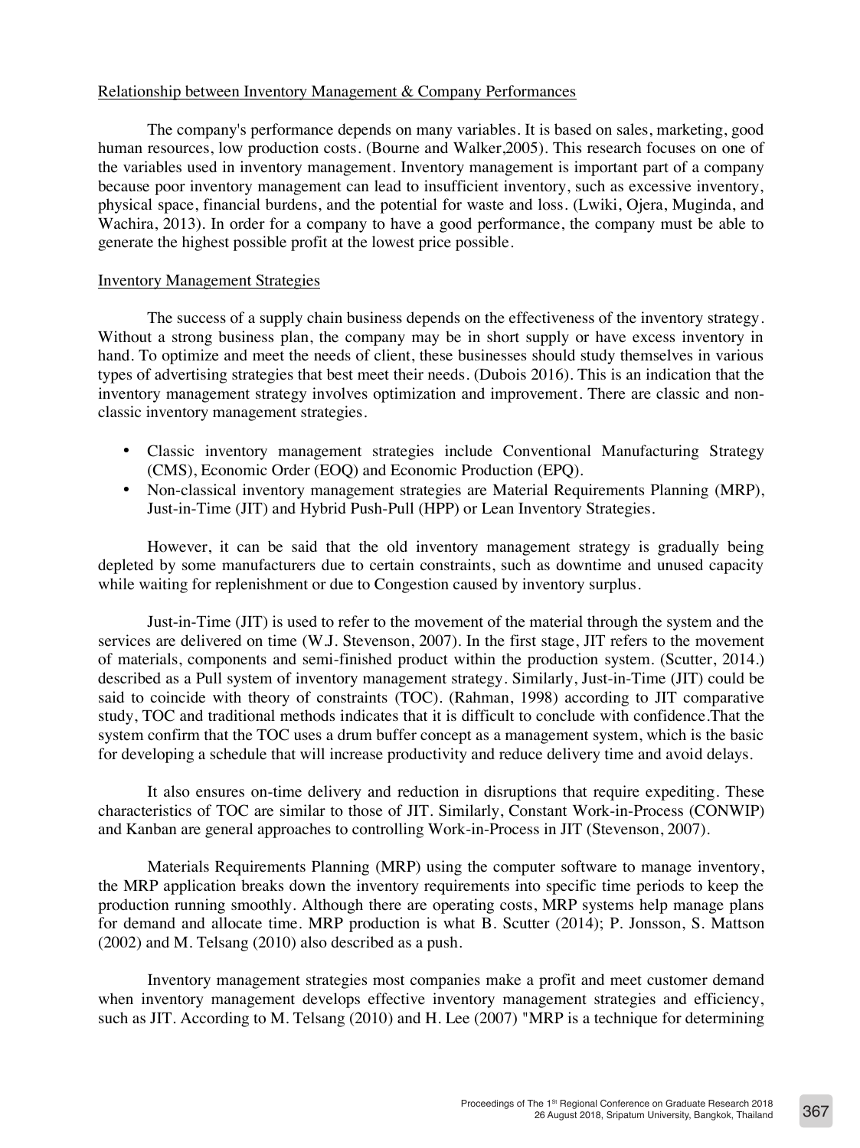# Relationship between Inventory Management & Company Performances

The company's performance depends on many variables. It is based on sales, marketing, good human resources, low production costs. (Bourne and Walker,2005). This research focuses on one of the variables used in inventory management. Inventory management is important part of a company because poor inventory management can lead to insufficient inventory, such as excessive inventory, physical space, financial burdens, and the potential for waste and loss. (Lwiki, Ojera, Muginda, and Wachira, 2013). In order for a company to have a good performance, the company must be able to generate the highest possible profit at the lowest price possible.

### Inventory Management Strategies

The success of a supply chain business depends on the effectiveness of the inventory strategy. Without a strong business plan, the company may be in short supply or have excess inventory in hand. To optimize and meet the needs of client, these businesses should study themselves in various types of advertising strategies that best meet their needs. (Dubois 2016). This is an indication that the inventory management strategy involves optimization and improvement. There are classic and nonclassic inventory management strategies.

- Classic inventory management strategies include Conventional Manufacturing Strategy (CMS), Economic Order (EOQ) and Economic Production (EPQ).
- Non-classical inventory management strategies are Material Requirements Planning (MRP), Just-in-Time (JIT) and Hybrid Push-Pull (HPP) or Lean Inventory Strategies.

However, it can be said that the old inventory management strategy is gradually being depleted by some manufacturers due to certain constraints, such as downtime and unused capacity while waiting for replenishment or due to Congestion caused by inventory surplus.

Just-in-Time (JIT) is used to refer to the movement of the material through the system and the services are delivered on time (W.J. Stevenson, 2007). In the first stage, JIT refers to the movement of materials, components and semi-finished product within the production system. (Scutter, 2014.) described as a Pull system of inventory management strategy. Similarly, Just-in-Time (JIT) could be said to coincide with theory of constraints (TOC). (Rahman, 1998) according to JIT comparative study, TOC and traditional methods indicates that it is difficult to conclude with confidence.That the system confirm that the TOC uses a drum buffer concept as a management system, which is the basic for developing a schedule that will increase productivity and reduce delivery time and avoid delays.

It also ensures on-time delivery and reduction in disruptions that require expediting. These characteristics of TOC are similar to those of JIT. Similarly, Constant Work-in-Process (CONWIP) and Kanban are general approaches to controlling Work-in-Process in JIT (Stevenson, 2007).

Materials Requirements Planning (MRP) using the computer software to manage inventory, the MRP application breaks down the inventory requirements into specific time periods to keep the production running smoothly. Although there are operating costs, MRP systems help manage plans for demand and allocate time. MRP production is what B. Scutter (2014); P. Jonsson, S. Mattson (2002) and M. Telsang (2010) also described as a push.

Inventory management strategies most companies make a profit and meet customer demand when inventory management develops effective inventory management strategies and efficiency, such as JIT. According to M. Telsang (2010) and H. Lee (2007) "MRP is a technique for determining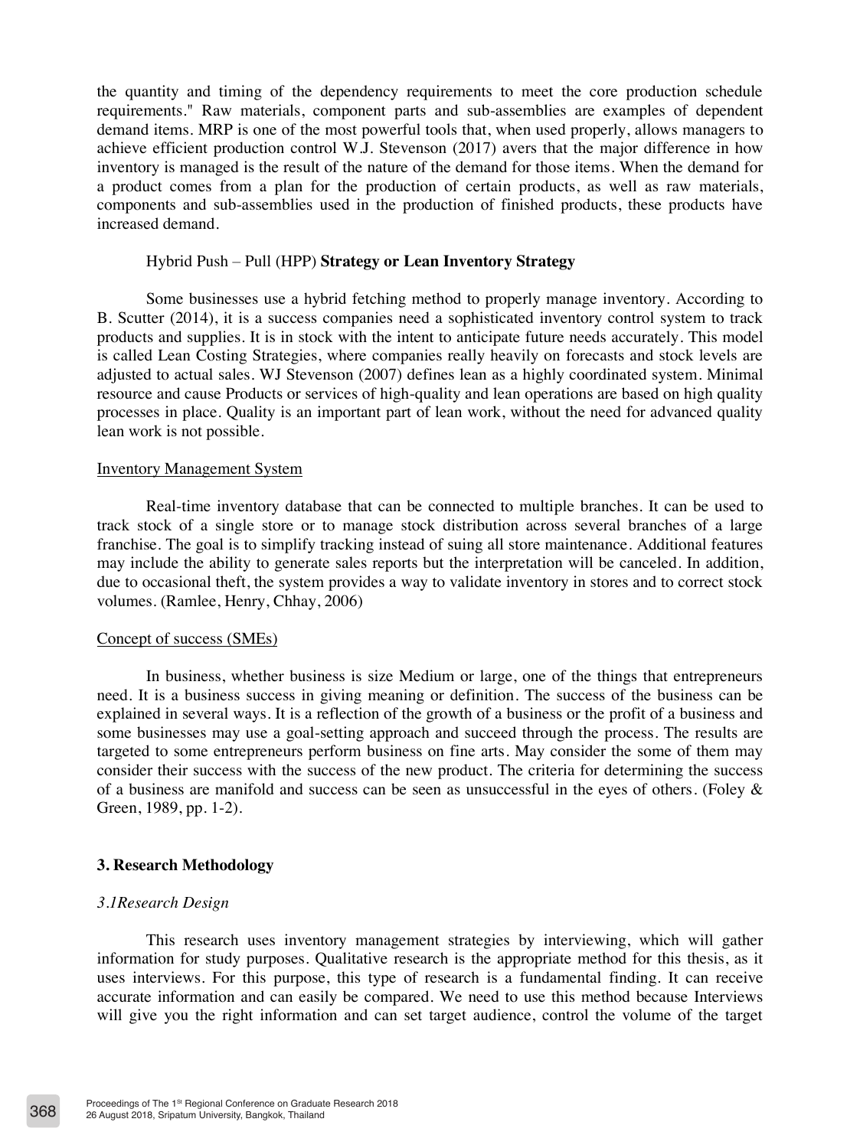the quantity and timing of the dependency requirements to meet the core production schedule requirements." Raw materials, component parts and sub-assemblies are examples of dependent demand items. MRP is one of the most powerful tools that, when used properly, allows managers to achieve efficient production control W.J. Stevenson (2017) avers that the major difference in how inventory is managed is the result of the nature of the demand for those items. When the demand for a product comes from a plan for the production of certain products, as well as raw materials, components and sub-assemblies used in the production of finished products, these products have increased demand.

### Hybrid Push – Pull (HPP) **Strategy or Lean Inventory Strategy**

Some businesses use a hybrid fetching method to properly manage inventory. According to B. Scutter (2014), it is a success companies need a sophisticated inventory control system to track products and supplies. It is in stock with the intent to anticipate future needs accurately. This model is called Lean Costing Strategies, where companies really heavily on forecasts and stock levels are adjusted to actual sales. WJ Stevenson (2007) defines lean as a highly coordinated system. Minimal resource and cause Products or services of high-quality and lean operations are based on high quality processes in place. Quality is an important part of lean work, without the need for advanced quality lean work is not possible.

#### Inventory Management System

Real-time inventory database that can be connected to multiple branches. It can be used to track stock of a single store or to manage stock distribution across several branches of a large franchise. The goal is to simplify tracking instead of suing all store maintenance. Additional features may include the ability to generate sales reports but the interpretation will be canceled. In addition, due to occasional theft, the system provides a way to validate inventory in stores and to correct stock volumes. (Ramlee, Henry, Chhay, 2006)

### Concept of success (SMEs)

In business, whether business is size Medium or large, one of the things that entrepreneurs need. It is a business success in giving meaning or definition. The success of the business can be explained in several ways. It is a reflection of the growth of a business or the profit of a business and some businesses may use a goal-setting approach and succeed through the process. The results are targeted to some entrepreneurs perform business on fine arts. May consider the some of them may consider their success with the success of the new product. The criteria for determining the success of a business are manifold and success can be seen as unsuccessful in the eyes of others. (Foley  $\&$ Green, 1989, pp. 1-2).

## **3. Research Methodology**

## *3.1Research Design*

This research uses inventory management strategies by interviewing, which will gather information for study purposes. Qualitative research is the appropriate method for this thesis, as it uses interviews. For this purpose, this type of research is a fundamental finding. It can receive accurate information and can easily be compared. We need to use this method because Interviews will give you the right information and can set target audience, control the volume of the target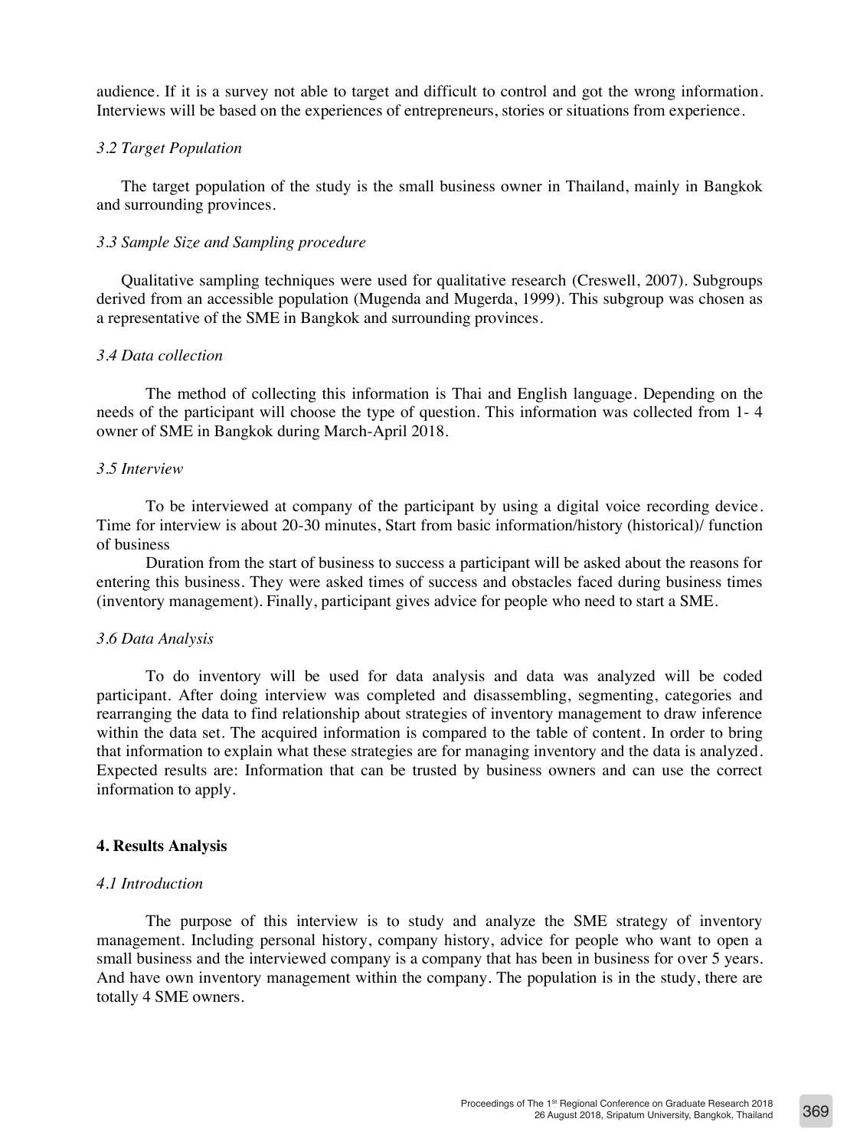audience. If it is a survey not able to target and difficult to control and got the wrong information. Interviews will be based on the experiences of entrepreneurs, stories or situations from experience.

### *3.2 Target Population*

The target population of the study is the small business owner in Thailand, mainly in Bangkok and surrounding provinces.

### *3.3 Sample Size and Sampling procedure*

Qualitative sampling techniques were used for qualitative research (Creswell, 2007). Subgroups derived from an accessible population (Mugenda and Mugerda, 1999). This subgroup was chosen as a representative of the SME in Bangkok and surrounding provinces.

### *3.4 Data collection*

The method of collecting this information is Thai and English language. Depending on the needs of the participant will choose the type of question. This information was collected from 1- 4 owner of SME in Bangkok during March-April 2018.

### *3.5 Interview*

To be interviewed at company of the participant by using a digital voice recording device. Time for interview is about 20-30 minutes, Start from basic information/history (historical)/ function of business

Duration from the start of business to success a participant will be asked about the reasons for entering this business. They were asked times of success and obstacles faced during business times (inventory management). Finally, participant gives advice for people who need to start a SME.

#### *3.6 Data Analysis*

To do inventory will be used for data analysis and data was analyzed will be coded participant. After doing interview was completed and disassembling, segmenting, categories and rearranging the data to find relationship about strategies of inventory management to draw inference within the data set. The acquired information is compared to the table of content. In order to bring that information to explain what these strategies are for managing inventory and the data is analyzed. Expected results are: Information that can be trusted by business owners and can use the correct information to apply.

## **4. Results Analysis**

#### *4.1 Introduction*

The purpose of this interview is to study and analyze the SME strategy of inventory management. Including personal history, company history, advice for people who want to open a small business and the interviewed company is a company that has been in business for over 5 years. And have own inventory management within the company. The population is in the study, there are totally 4 SME owners.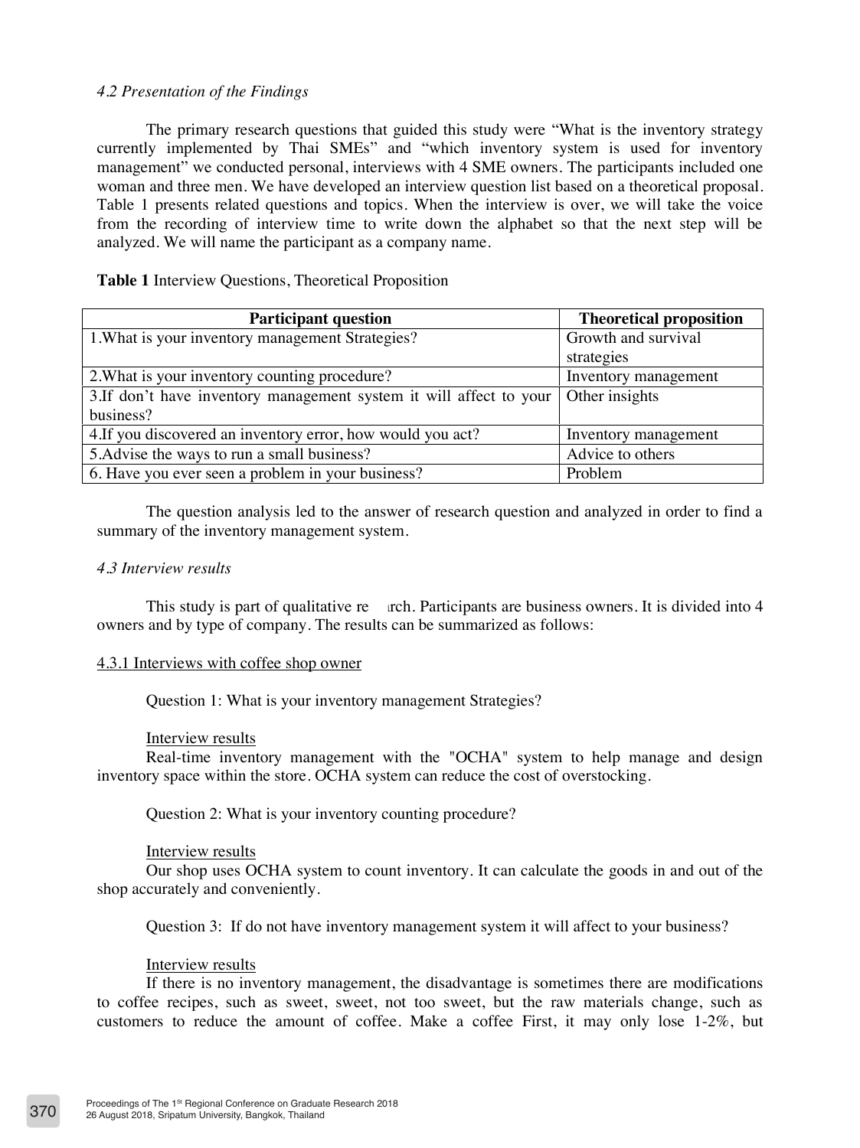## *4.2 Presentation of the Findings*

The primary research questions that guided this study were "What is the inventory strategy currently implemented by Thai SMEs" and "which inventory system is used for inventory management" we conducted personal, interviews with 4 SME owners. The participants included one woman and three men. We have developed an interview question list based on a theoretical proposal. Table 1 presents related questions and topics. When the interview is over, we will take the voice from the recording of interview time to write down the alphabet so that the next step will be analyzed. We will name the participant as a company name.

## **Table 1** Interview Questions, Theoretical Proposition

| <b>Participant question</b>                                         | <b>Theoretical proposition</b> |
|---------------------------------------------------------------------|--------------------------------|
| 1. What is your inventory management Strategies?                    | Growth and survival            |
|                                                                     | strategies                     |
| 2. What is your inventory counting procedure?                       | Inventory management           |
| 3. If don't have inventory management system it will affect to your | Other insights                 |
| business?                                                           |                                |
| 4. If you discovered an inventory error, how would you act?         | Inventory management           |
| 5. Advise the ways to run a small business?                         | Advice to others               |
| 6. Have you ever seen a problem in your business?                   | Problem                        |

The question analysis led to the answer of research question and analyzed in order to find a summary of the inventory management system.

## *4.3 Interview results*

This study is part of qualitative re rch. Participants are business owners. It is divided into  $4$ owners and by type of company. The results can be summarized as follows:

## 4.3.1 Interviews with coffee shop owner

Question 1: What is your inventory management Strategies?

#### Interview results

Real-time inventory management with the "OCHA" system to help manage and design inventory space within the store. OCHA system can reduce the cost of overstocking.

Question 2: What is your inventory counting procedure?

#### Interview results

Our shop uses OCHA system to count inventory. It can calculate the goods in and out of the shop accurately and conveniently.

Question 3: If do not have inventory management system it will affect to your business?

# Interview results

If there is no inventory management, the disadvantage is sometimes there are modifications to coffee recipes, such as sweet, sweet, not too sweet, but the raw materials change, such as customers to reduce the amount of coffee. Make a coffee First, it may only lose 1-2%, but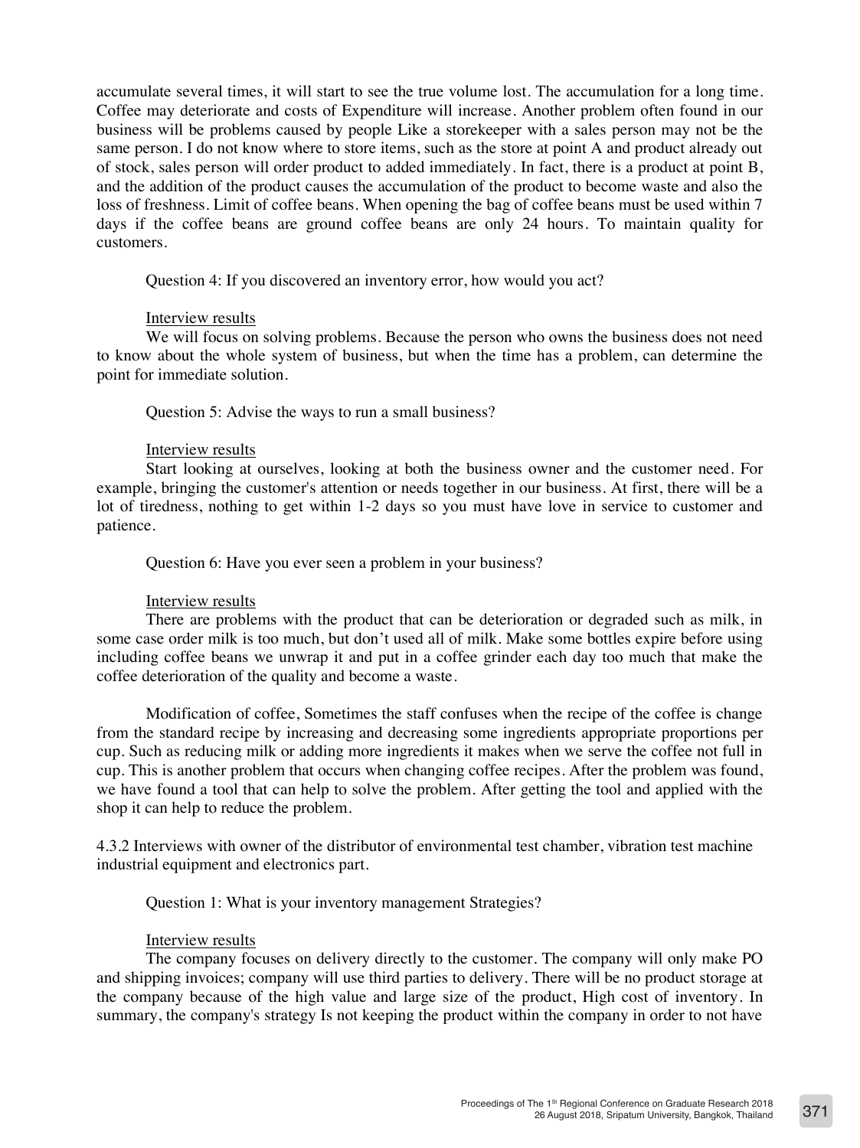accumulate several times, it will start to see the true volume lost. The accumulation for a long time. Coffee may deteriorate and costs of Expenditure will increase. Another problem often found in our business will be problems caused by people Like a storekeeper with a sales person may not be the same person. I do not know where to store items, such as the store at point A and product already out of stock, sales person will order product to added immediately. In fact, there is a product at point B, and the addition of the product causes the accumulation of the product to become waste and also the loss of freshness. Limit of coffee beans. When opening the bag of coffee beans must be used within 7 days if the coffee beans are ground coffee beans are only 24 hours. To maintain quality for customers.

Question 4: If you discovered an inventory error, how would you act?

### Interview results

We will focus on solving problems. Because the person who owns the business does not need to know about the whole system of business, but when the time has a problem, can determine the point for immediate solution.

Question 5: Advise the ways to run a small business?

### Interview results

Start looking at ourselves, looking at both the business owner and the customer need. For example, bringing the customer's attention or needs together in our business. At first, there will be a lot of tiredness, nothing to get within 1-2 days so you must have love in service to customer and patience.

Question 6: Have you ever seen a problem in your business?

## Interview results

There are problems with the product that can be deterioration or degraded such as milk, in some case order milk is too much, but don't used all of milk. Make some bottles expire before using including coffee beans we unwrap it and put in a coffee grinder each day too much that make the coffee deterioration of the quality and become a waste.

Modification of coffee, Sometimes the staff confuses when the recipe of the coffee is change from the standard recipe by increasing and decreasing some ingredients appropriate proportions per cup. Such as reducing milk or adding more ingredients it makes when we serve the coffee not full in cup. This is another problem that occurs when changing coffee recipes. After the problem was found, we have found a tool that can help to solve the problem. After getting the tool and applied with the shop it can help to reduce the problem.

4.3.2 Interviews with owner of the distributor of environmental test chamber, vibration test machine industrial equipment and electronics part.

Question 1: What is your inventory management Strategies?

#### Interview results

The company focuses on delivery directly to the customer. The company will only make PO and shipping invoices; company will use third parties to delivery. There will be no product storage at the company because of the high value and large size of the product, High cost of inventory. In summary, the company's strategy Is not keeping the product within the company in order to not have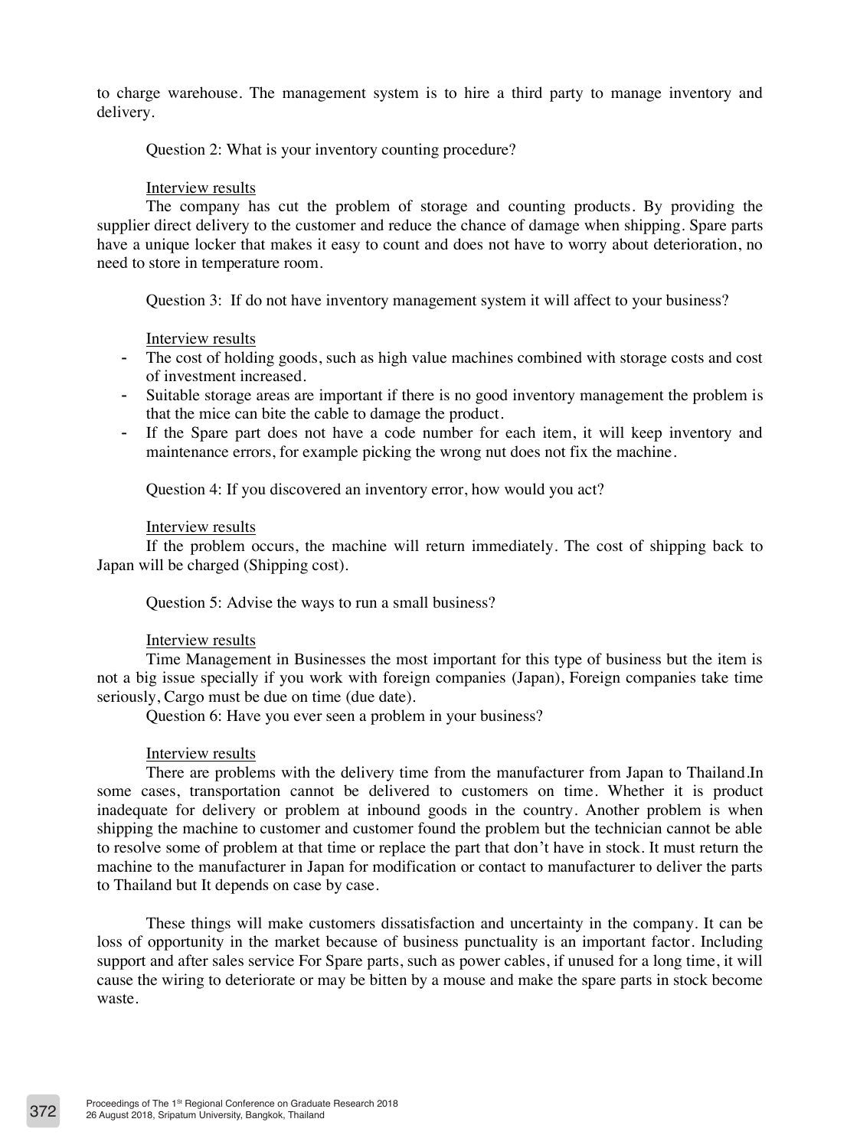to charge warehouse. The management system is to hire a third party to manage inventory and delivery.

### Question 2: What is your inventory counting procedure?

#### Interview results

The company has cut the problem of storage and counting products. By providing the supplier direct delivery to the customer and reduce the chance of damage when shipping. Spare parts have a unique locker that makes it easy to count and does not have to worry about deterioration, no need to store in temperature room.

Question 3: If do not have inventory management system it will affect to your business?

### Interview results

- The cost of holding goods, such as high value machines combined with storage costs and cost of investment increased.
- Suitable storage areas are important if there is no good inventory management the problem is that the mice can bite the cable to damage the product.
- If the Spare part does not have a code number for each item, it will keep inventory and maintenance errors, for example picking the wrong nut does not fix the machine.

Question 4: If you discovered an inventory error, how would you act?

#### Interview results

If the problem occurs, the machine will return immediately. The cost of shipping back to Japan will be charged (Shipping cost).

Question 5: Advise the ways to run a small business?

## Interview results

Time Management in Businesses the most important for this type of business but the item is not a big issue specially if you work with foreign companies (Japan), Foreign companies take time seriously, Cargo must be due on time (due date).

Question 6: Have you ever seen a problem in your business?

#### Interview results

There are problems with the delivery time from the manufacturer from Japan to Thailand.In some cases, transportation cannot be delivered to customers on time. Whether it is product inadequate for delivery or problem at inbound goods in the country. Another problem is when shipping the machine to customer and customer found the problem but the technician cannot be able to resolve some of problem at that time or replace the part that don't have in stock. It must return the machine to the manufacturer in Japan for modification or contact to manufacturer to deliver the parts to Thailand but It depends on case by case.

These things will make customers dissatisfaction and uncertainty in the company. It can be loss of opportunity in the market because of business punctuality is an important factor. Including support and after sales service For Spare parts, such as power cables, if unused for a long time, it will cause the wiring to deteriorate or may be bitten by a mouse and make the spare parts in stock become waste.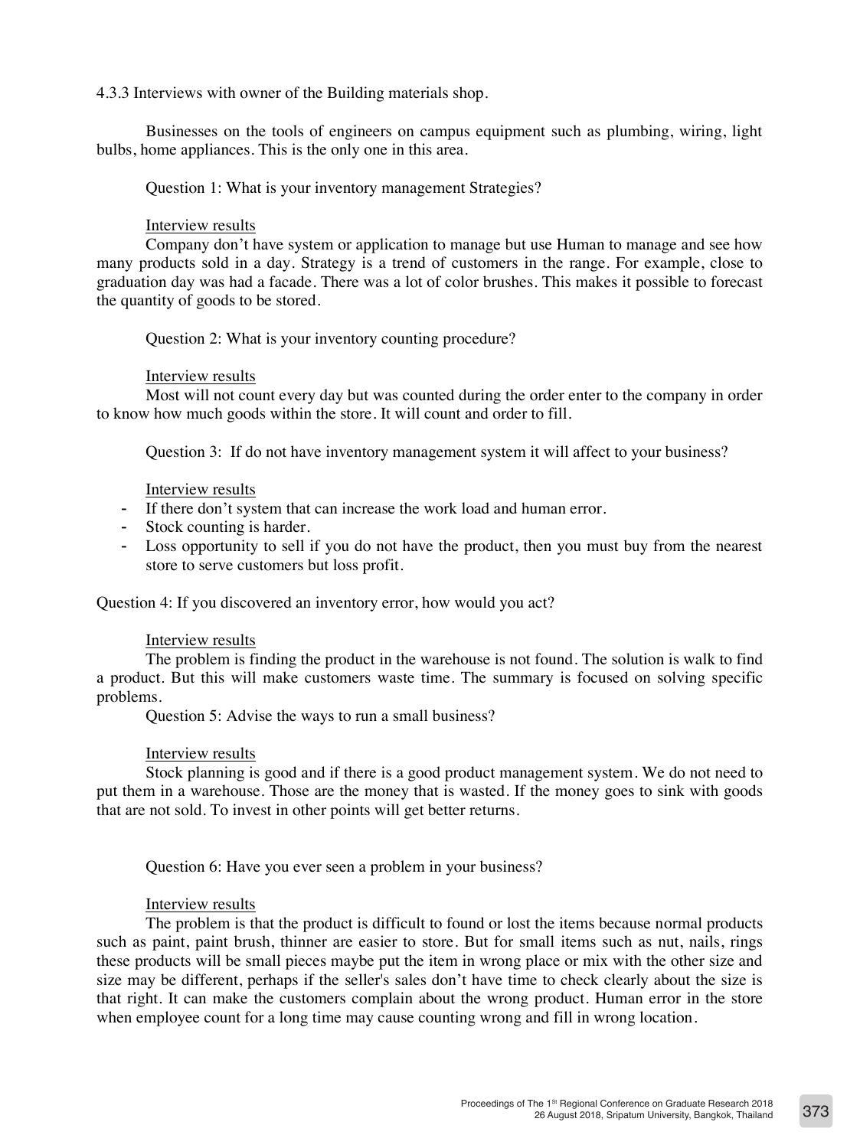4.3.3 Interviews with owner of the Building materials shop.

Businesses on the tools of engineers on campus equipment such as plumbing, wiring, light bulbs, home appliances. This is the only one in this area.

Question 1: What is your inventory management Strategies?

### Interview results

Company don't have system or application to manage but use Human to manage and see how many products sold in a day. Strategy is a trend of customers in the range. For example, close to graduation day was had a facade. There was a lot of color brushes. This makes it possible to forecast the quantity of goods to be stored.

Question 2: What is your inventory counting procedure?

### Interview results

Most will not count every day but was counted during the order enter to the company in order to know how much goods within the store. It will count and order to fill.

Question 3: If do not have inventory management system it will affect to your business?

### Interview results

- If there don't system that can increase the work load and human error.
- Stock counting is harder.
- Loss opportunity to sell if you do not have the product, then you must buy from the nearest store to serve customers but loss profit.

Question 4: If you discovered an inventory error, how would you act?

## Interview results

The problem is finding the product in the warehouse is not found. The solution is walk to find a product. But this will make customers waste time. The summary is focused on solving specific problems.

Question 5: Advise the ways to run a small business?

## Interview results

Stock planning is good and if there is a good product management system. We do not need to put them in a warehouse. Those are the money that is wasted. If the money goes to sink with goods that are not sold. To invest in other points will get better returns.

Question 6: Have you ever seen a problem in your business?

## Interview results

The problem is that the product is difficult to found or lost the items because normal products such as paint, paint brush, thinner are easier to store. But for small items such as nut, nails, rings these products will be small pieces maybe put the item in wrong place or mix with the other size and size may be different, perhaps if the seller's sales don't have time to check clearly about the size is that right. It can make the customers complain about the wrong product. Human error in the store when employee count for a long time may cause counting wrong and fill in wrong location.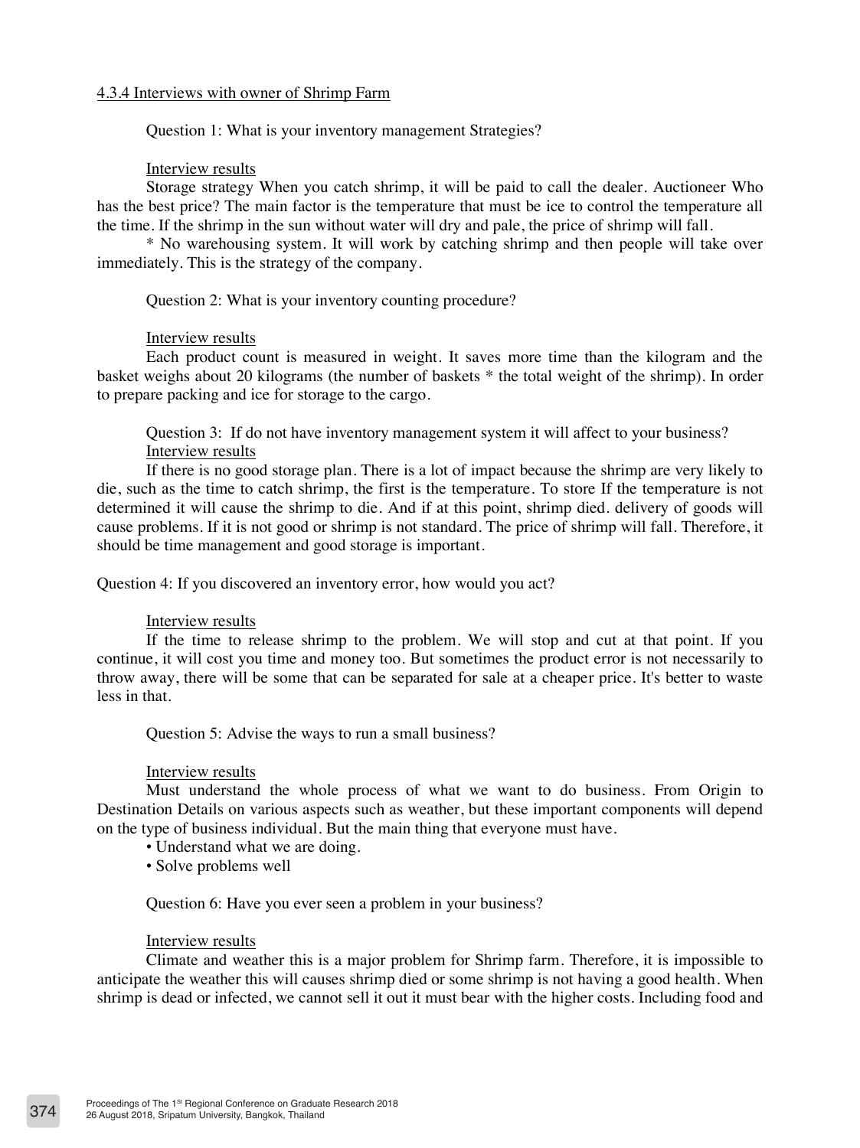### 4.3.4 Interviews with owner of Shrimp Farm

Question 1: What is your inventory management Strategies?

### Interview results

Storage strategy When you catch shrimp, it will be paid to call the dealer. Auctioneer Who has the best price? The main factor is the temperature that must be ice to control the temperature all the time. If the shrimp in the sun without water will dry and pale, the price of shrimp will fall.

\* No warehousing system. It will work by catching shrimp and then people will take over immediately. This is the strategy of the company.

Question 2: What is your inventory counting procedure?

#### Interview results

Each product count is measured in weight. It saves more time than the kilogram and the basket weighs about 20 kilograms (the number of baskets \* the total weight of the shrimp). In order to prepare packing and ice for storage to the cargo.

Question 3: If do not have inventory management system it will affect to your business? Interview results

If there is no good storage plan. There is a lot of impact because the shrimp are very likely to die, such as the time to catch shrimp, the first is the temperature. To store If the temperature is not determined it will cause the shrimp to die. And if at this point, shrimp died. delivery of goods will cause problems. If it is not good or shrimp is not standard. The price of shrimp will fall. Therefore, it should be time management and good storage is important.

Question 4: If you discovered an inventory error, how would you act?

### Interview results

If the time to release shrimp to the problem. We will stop and cut at that point. If you continue, it will cost you time and money too. But sometimes the product error is not necessarily to throw away, there will be some that can be separated for sale at a cheaper price. It's better to waste less in that.

Question 5: Advise the ways to run a small business?

#### Interview results

Must understand the whole process of what we want to do business. From Origin to Destination Details on various aspects such as weather, but these important components will depend on the type of business individual. But the main thing that everyone must have.

- Understand what we are doing.
- Solve problems well

#### Question 6: Have you ever seen a problem in your business?

#### Interview results

Climate and weather this is a major problem for Shrimp farm. Therefore, it is impossible to anticipate the weather this will causes shrimp died or some shrimp is not having a good health. When shrimp is dead or infected, we cannot sell it out it must bear with the higher costs. Including food and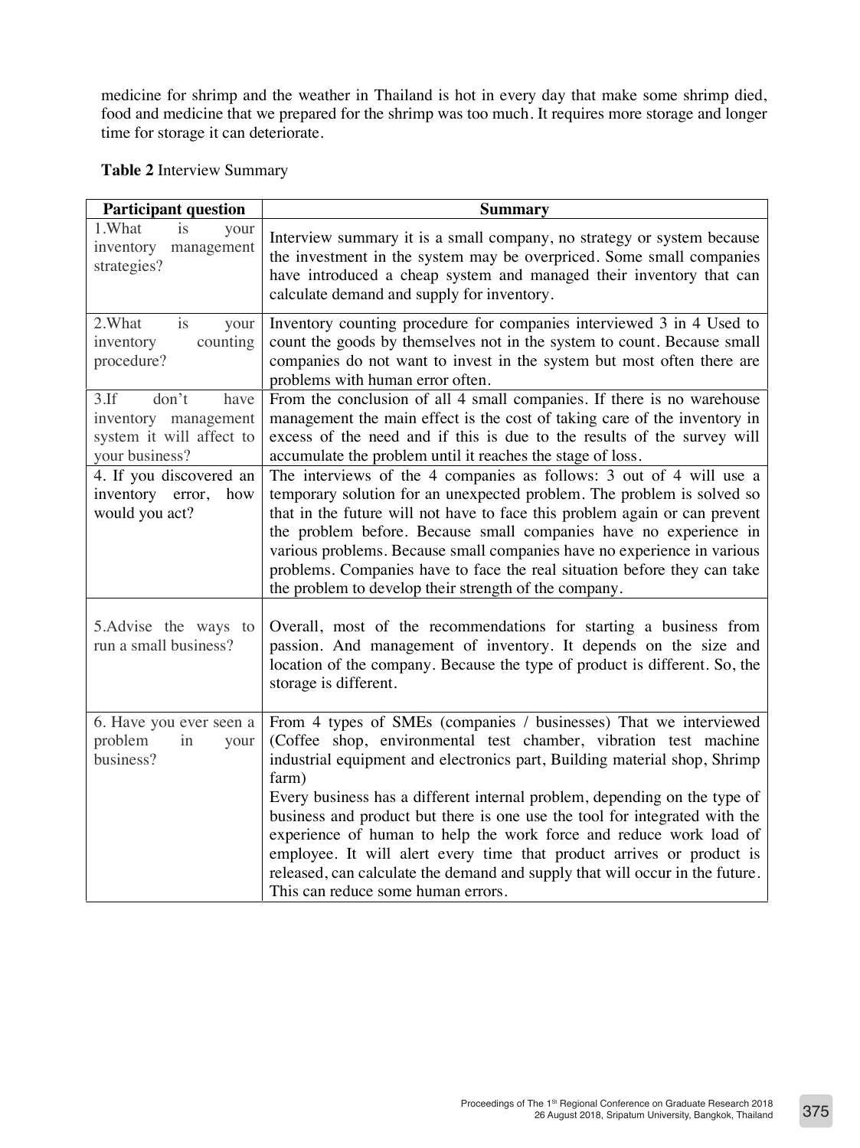medicine for shrimp and the weather in Thailand is hot in every day that make some shrimp died, food and medicine that we prepared for the shrimp was too much. It requires more storage and longer time for storage it can deteriorate.

**Table 2** Interview Summary

| <b>Participant question</b>                                                                    | <b>Summary</b>                                                                                                                                                                                                                                                                                                                                                                                                                                                                                                                                                                                                                                              |
|------------------------------------------------------------------------------------------------|-------------------------------------------------------------------------------------------------------------------------------------------------------------------------------------------------------------------------------------------------------------------------------------------------------------------------------------------------------------------------------------------------------------------------------------------------------------------------------------------------------------------------------------------------------------------------------------------------------------------------------------------------------------|
| 1.What<br><i>is</i><br>your<br>inventory<br>management<br>strategies?                          | Interview summary it is a small company, no strategy or system because<br>the investment in the system may be overpriced. Some small companies<br>have introduced a cheap system and managed their inventory that can<br>calculate demand and supply for inventory.                                                                                                                                                                                                                                                                                                                                                                                         |
| 2.What<br>is<br>your<br>counting<br>inventory<br>procedure?                                    | Inventory counting procedure for companies interviewed 3 in 4 Used to<br>count the goods by themselves not in the system to count. Because small<br>companies do not want to invest in the system but most often there are<br>problems with human error often.                                                                                                                                                                                                                                                                                                                                                                                              |
| don't<br>$3.$ If<br>have<br>inventory management<br>system it will affect to<br>your business? | From the conclusion of all 4 small companies. If there is no warehouse<br>management the main effect is the cost of taking care of the inventory in<br>excess of the need and if this is due to the results of the survey will<br>accumulate the problem until it reaches the stage of loss.                                                                                                                                                                                                                                                                                                                                                                |
| 4. If you discovered an<br>inventory error,<br>how<br>would you act?                           | The interviews of the 4 companies as follows: 3 out of 4 will use a<br>temporary solution for an unexpected problem. The problem is solved so<br>that in the future will not have to face this problem again or can prevent<br>the problem before. Because small companies have no experience in<br>various problems. Because small companies have no experience in various<br>problems. Companies have to face the real situation before they can take<br>the problem to develop their strength of the company.                                                                                                                                            |
| 5. Advise the ways to<br>run a small business?                                                 | Overall, most of the recommendations for starting a business from<br>passion. And management of inventory. It depends on the size and<br>location of the company. Because the type of product is different. So, the<br>storage is different.                                                                                                                                                                                                                                                                                                                                                                                                                |
| 6. Have you ever seen a<br>problem<br>in<br>your<br>business?                                  | From 4 types of SMEs (companies / businesses) That we interviewed<br>(Coffee shop, environmental test chamber, vibration test machine<br>industrial equipment and electronics part, Building material shop, Shrimp<br>farm)<br>Every business has a different internal problem, depending on the type of<br>business and product but there is one use the tool for integrated with the<br>experience of human to help the work force and reduce work load of<br>employee. It will alert every time that product arrives or product is<br>released, can calculate the demand and supply that will occur in the future.<br>This can reduce some human errors. |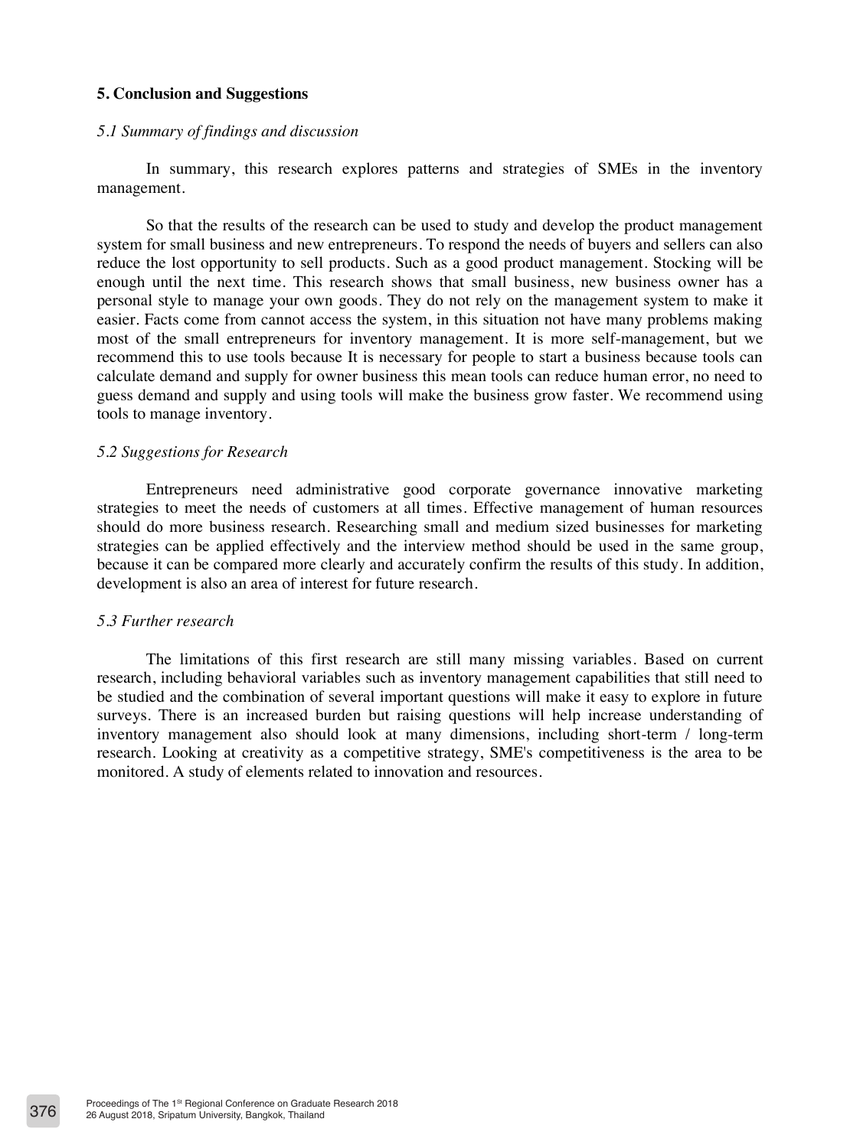### **5. Conclusion and Suggestions**

#### *5.1 Summary of findings and discussion*

In summary, this research explores patterns and strategies of SMEs in the inventory management.

So that the results of the research can be used to study and develop the product management system for small business and new entrepreneurs. To respond the needs of buyers and sellers can also reduce the lost opportunity to sell products. Such as a good product management. Stocking will be enough until the next time. This research shows that small business, new business owner has a personal style to manage your own goods. They do not rely on the management system to make it easier. Facts come from cannot access the system, in this situation not have many problems making most of the small entrepreneurs for inventory management. It is more self-management, but we recommend this to use tools because It is necessary for people to start a business because tools can calculate demand and supply for owner business this mean tools can reduce human error, no need to guess demand and supply and using tools will make the business grow faster. We recommend using tools to manage inventory.

#### *5.2 Suggestions for Research*

Entrepreneurs need administrative good corporate governance innovative marketing strategies to meet the needs of customers at all times. Effective management of human resources should do more business research. Researching small and medium sized businesses for marketing strategies can be applied effectively and the interview method should be used in the same group, because it can be compared more clearly and accurately confirm the results of this study. In addition, development is also an area of interest for future research.

### *5.3 Further research*

The limitations of this first research are still many missing variables. Based on current research, including behavioral variables such as inventory management capabilities that still need to be studied and the combination of several important questions will make it easy to explore in future surveys. There is an increased burden but raising questions will help increase understanding of inventory management also should look at many dimensions, including short-term / long-term research. Looking at creativity as a competitive strategy, SME's competitiveness is the area to be monitored. A study of elements related to innovation and resources.